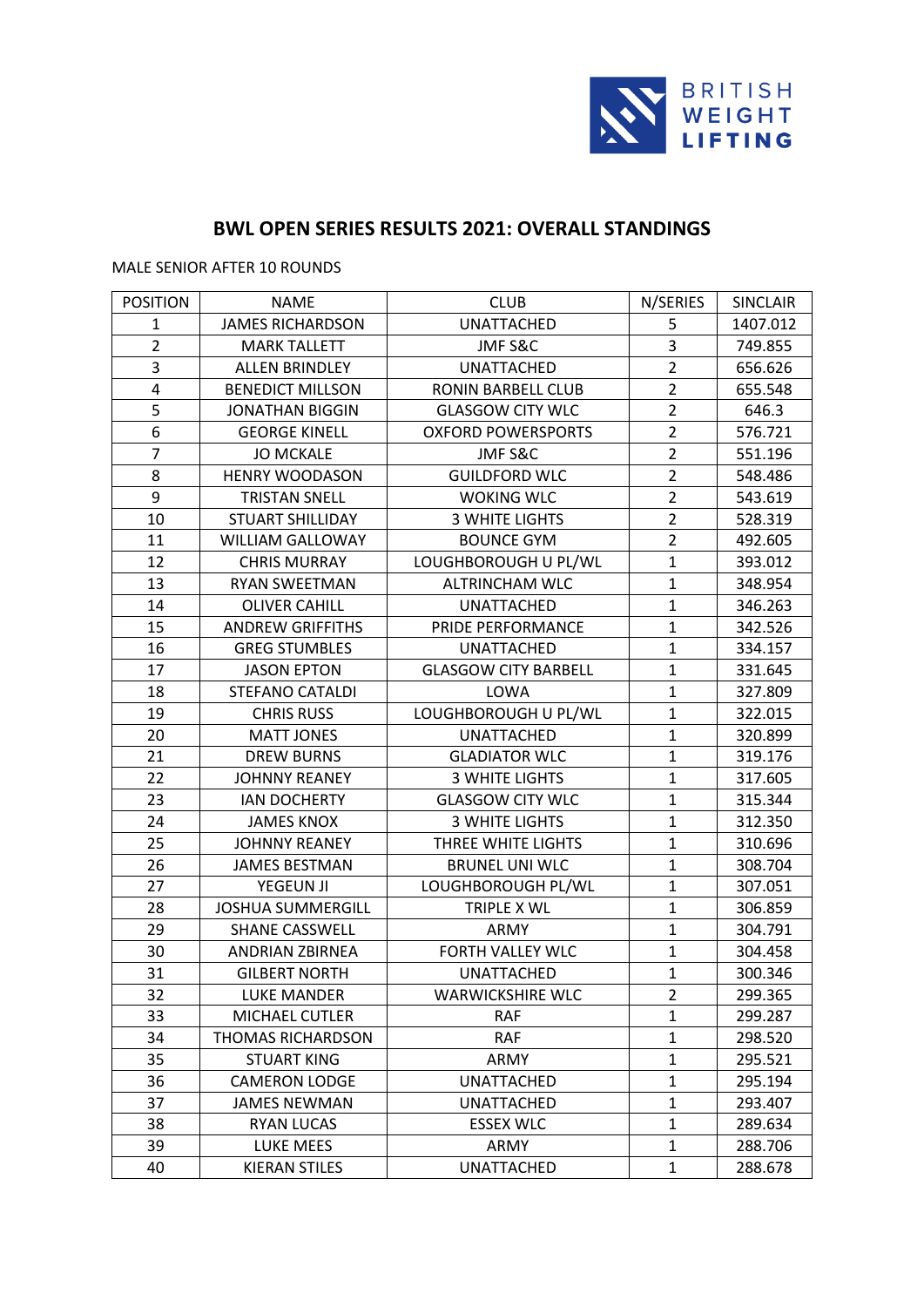

# **BWL OPEN SERIES RESULTS 2021: OVERALL STANDINGS**

MALE SENIOR AFTER 10 ROUNDS

| <b>POSITION</b>  | <b>NAME</b>              | <b>CLUB</b>                 | N/SERIES       | SINCLAIR |
|------------------|--------------------------|-----------------------------|----------------|----------|
| $\mathbf{1}$     | <b>JAMES RICHARDSON</b>  | <b>UNATTACHED</b>           | 5              | 1407.012 |
| $\overline{2}$   | <b>MARK TALLETT</b>      | JMF S&C                     | 3              | 749.855  |
| 3                | <b>ALLEN BRINDLEY</b>    | <b>UNATTACHED</b>           | $\overline{2}$ | 656.626  |
| $\pmb{4}$        | <b>BENEDICT MILLSON</b>  | RONIN BARBELL CLUB          | $\overline{2}$ | 655.548  |
| 5                | <b>JONATHAN BIGGIN</b>   | <b>GLASGOW CITY WLC</b>     | $\overline{2}$ | 646.3    |
| $\boldsymbol{6}$ | <b>GEORGE KINELL</b>     | <b>OXFORD POWERSPORTS</b>   | $\overline{2}$ | 576.721  |
| $\overline{7}$   | <b>JO MCKALE</b>         | JMF S&C                     | $\overline{2}$ | 551.196  |
| 8                | <b>HENRY WOODASON</b>    | <b>GUILDFORD WLC</b>        | $\overline{2}$ | 548.486  |
| 9                | <b>TRISTAN SNELL</b>     | <b>WOKING WLC</b>           | $\overline{2}$ | 543.619  |
| 10               | <b>STUART SHILLIDAY</b>  | <b>3 WHITE LIGHTS</b>       | $\overline{2}$ | 528.319  |
| 11               | <b>WILLIAM GALLOWAY</b>  | <b>BOUNCE GYM</b>           | $\overline{c}$ | 492.605  |
| 12               | <b>CHRIS MURRAY</b>      | LOUGHBOROUGH U PL/WL        | $\mathbf{1}$   | 393.012  |
| 13               | RYAN SWEETMAN            | <b>ALTRINCHAM WLC</b>       | $\mathbf{1}$   | 348.954  |
| 14               | <b>OLIVER CAHILL</b>     | <b>UNATTACHED</b>           | $\mathbf 1$    | 346.263  |
| 15               | <b>ANDREW GRIFFITHS</b>  | PRIDE PERFORMANCE           | $\mathbf{1}$   | 342.526  |
| 16               | <b>GREG STUMBLES</b>     | <b>UNATTACHED</b>           | $\mathbf{1}$   | 334.157  |
| 17               | <b>JASON EPTON</b>       | <b>GLASGOW CITY BARBELL</b> | $\mathbf{1}$   | 331.645  |
| 18               | STEFANO CATALDI          | LOWA                        | $\mathbf{1}$   | 327.809  |
| 19               | <b>CHRIS RUSS</b>        | LOUGHBOROUGH U PL/WL        | $\mathbf{1}$   | 322.015  |
| 20               | <b>MATT JONES</b>        | <b>UNATTACHED</b>           | $\mathbf{1}$   | 320.899  |
| 21               | <b>DREW BURNS</b>        | <b>GLADIATOR WLC</b>        | $\mathbf 1$    | 319.176  |
| 22               | <b>JOHNNY REANEY</b>     | <b>3 WHITE LIGHTS</b>       | $\mathbf{1}$   | 317.605  |
| 23               | <b>IAN DOCHERTY</b>      | <b>GLASGOW CITY WLC</b>     | $\mathbf{1}$   | 315.344  |
| 24               | <b>JAMES KNOX</b>        | <b>3 WHITE LIGHTS</b>       | $\mathbf{1}$   | 312.350  |
| 25               | <b>JOHNNY REANEY</b>     | THREE WHITE LIGHTS          | $\mathbf{1}$   | 310.696  |
| 26               | <b>JAMES BESTMAN</b>     | <b>BRUNEL UNI WLC</b>       | $\mathbf{1}$   | 308.704  |
| 27               | <b>YEGEUN JI</b>         | LOUGHBOROUGH PL/WL          | $\mathbf 1$    | 307.051  |
| 28               | <b>JOSHUA SUMMERGILL</b> | TRIPLE X WL                 | $\mathbf{1}$   | 306.859  |
| 29               | <b>SHANE CASSWELL</b>    | ARMY                        | $\mathbf{1}$   | 304.791  |
| 30               | <b>ANDRIAN ZBIRNEA</b>   | FORTH VALLEY WLC            | $\mathbf 1$    | 304.458  |
| 31               | <b>GILBERT NORTH</b>     | <b>UNATTACHED</b>           | $\mathbf{1}$   | 300.346  |
| 32               | <b>LUKE MANDER</b>       | <b>WARWICKSHIRE WLC</b>     | 2              | 299.365  |
| 33               | MICHAEL CUTLER           | <b>RAF</b>                  | 1              | 299.287  |
| 34               | <b>THOMAS RICHARDSON</b> | <b>RAF</b>                  | $\mathbf{1}$   | 298.520  |
| 35               | <b>STUART KING</b>       | ARMY                        | 1              | 295.521  |
| 36               | <b>CAMERON LODGE</b>     | UNATTACHED                  | $\mathbf{1}$   | 295.194  |
| 37               | <b>JAMES NEWMAN</b>      | <b>UNATTACHED</b>           | $\mathbf{1}$   | 293.407  |
| 38               | <b>RYAN LUCAS</b>        | <b>ESSEX WLC</b>            | 1              | 289.634  |
| 39               | LUKE MEES                | ARMY                        | 1              | 288.706  |
| 40               | <b>KIERAN STILES</b>     | UNATTACHED                  | $\mathbf{1}$   | 288.678  |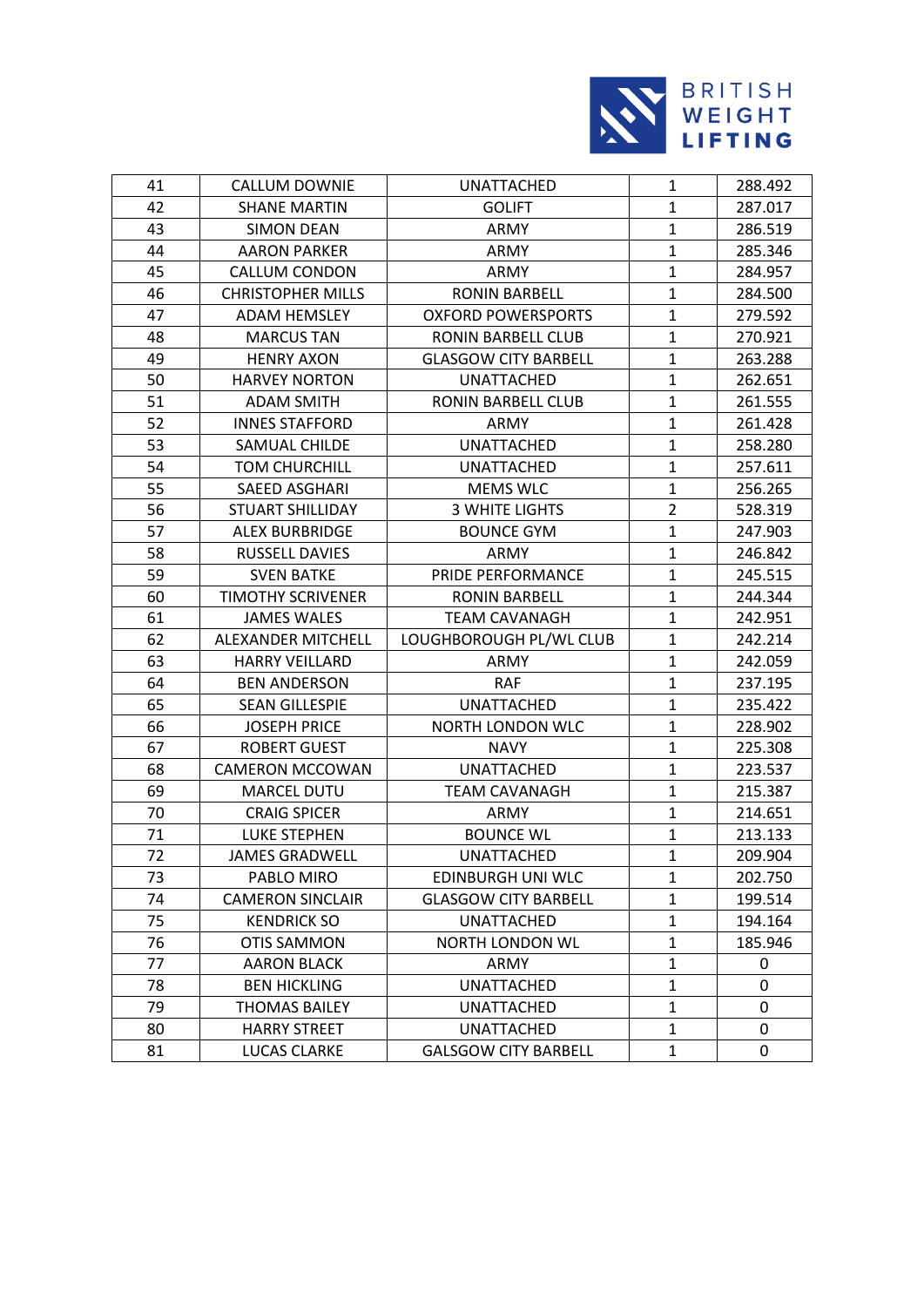

| 41 | <b>CALLUM DOWNIE</b>     | UNATTACHED                  | $\mathbf{1}$   | 288.492 |
|----|--------------------------|-----------------------------|----------------|---------|
| 42 | <b>SHANE MARTIN</b>      | <b>GOLIFT</b>               | $\mathbf{1}$   | 287.017 |
| 43 | <b>SIMON DEAN</b>        | ARMY                        | $\mathbf{1}$   | 286.519 |
| 44 | <b>AARON PARKER</b>      | ARMY                        | $\mathbf{1}$   | 285.346 |
| 45 | <b>CALLUM CONDON</b>     | ARMY                        | $\mathbf{1}$   | 284.957 |
| 46 | <b>CHRISTOPHER MILLS</b> | <b>RONIN BARBELL</b>        | $\mathbf{1}$   | 284.500 |
| 47 | <b>ADAM HEMSLEY</b>      | <b>OXFORD POWERSPORTS</b>   | $\mathbf{1}$   | 279.592 |
| 48 | <b>MARCUS TAN</b>        | <b>RONIN BARBELL CLUB</b>   | $\mathbf{1}$   | 270.921 |
| 49 | <b>HENRY AXON</b>        | <b>GLASGOW CITY BARBELL</b> | $\mathbf{1}$   | 263.288 |
| 50 | <b>HARVEY NORTON</b>     | <b>UNATTACHED</b>           | $\mathbf{1}$   | 262.651 |
| 51 | <b>ADAM SMITH</b>        | RONIN BARBELL CLUB          | $\mathbf{1}$   | 261.555 |
| 52 | <b>INNES STAFFORD</b>    | ARMY                        | $\mathbf{1}$   | 261.428 |
| 53 | SAMUAL CHILDE            | <b>UNATTACHED</b>           | $\mathbf{1}$   | 258.280 |
| 54 | <b>TOM CHURCHILL</b>     | UNATTACHED                  | $\mathbf{1}$   | 257.611 |
| 55 | SAEED ASGHARI            | MEMS WLC                    | $\mathbf{1}$   | 256.265 |
| 56 | STUART SHILLIDAY         | <b>3 WHITE LIGHTS</b>       | $\overline{2}$ | 528.319 |
| 57 | <b>ALEX BURBRIDGE</b>    | <b>BOUNCE GYM</b>           | $\mathbf{1}$   | 247.903 |
| 58 | RUSSELL DAVIES           | ARMY                        | $\mathbf{1}$   | 246.842 |
| 59 | <b>SVEN BATKE</b>        | PRIDE PERFORMANCE           | $\mathbf{1}$   | 245.515 |
| 60 | <b>TIMOTHY SCRIVENER</b> | <b>RONIN BARBELL</b>        | $\mathbf{1}$   | 244.344 |
| 61 | <b>JAMES WALES</b>       | <b>TEAM CAVANAGH</b>        | $\mathbf{1}$   | 242.951 |
| 62 | ALEXANDER MITCHELL       | LOUGHBOROUGH PL/WL CLUB     | $\mathbf{1}$   | 242.214 |
| 63 | <b>HARRY VEILLARD</b>    | ARMY                        | $\mathbf{1}$   | 242.059 |
| 64 | <b>BEN ANDERSON</b>      | <b>RAF</b>                  | $\mathbf{1}$   | 237.195 |
| 65 | <b>SEAN GILLESPIE</b>    | <b>UNATTACHED</b>           | $\mathbf{1}$   | 235.422 |
| 66 | <b>JOSEPH PRICE</b>      | NORTH LONDON WLC            | $\mathbf{1}$   | 228.902 |
| 67 | <b>ROBERT GUEST</b>      | <b>NAVY</b>                 | $\mathbf{1}$   | 225.308 |
| 68 | <b>CAMERON MCCOWAN</b>   | <b>UNATTACHED</b>           | $\mathbf{1}$   | 223.537 |
| 69 | <b>MARCEL DUTU</b>       | <b>TEAM CAVANAGH</b>        | $\mathbf{1}$   | 215.387 |
| 70 | <b>CRAIG SPICER</b>      | ARMY                        | $\mathbf{1}$   | 214.651 |
| 71 | <b>LUKE STEPHEN</b>      | <b>BOUNCE WL</b>            | $\mathbf{1}$   | 213.133 |
| 72 | <b>JAMES GRADWELL</b>    | <b>UNATTACHED</b>           | $\mathbf{1}$   | 209.904 |
| 73 | PABLO MIRO               | EDINBURGH UNI WLC           | 1              | 202.750 |
| 74 | <b>CAMERON SINCLAIR</b>  | <b>GLASGOW CITY BARBELL</b> | 1              | 199.514 |
| 75 | <b>KENDRICK SO</b>       | <b>UNATTACHED</b>           | $\mathbf{1}$   | 194.164 |
| 76 | <b>OTIS SAMMON</b>       | <b>NORTH LONDON WL</b>      | 1              | 185.946 |
| 77 | <b>AARON BLACK</b>       | ARMY                        | 1              | 0       |
| 78 | <b>BEN HICKLING</b>      | <b>UNATTACHED</b>           | $\mathbf{1}$   | 0       |
| 79 | <b>THOMAS BAILEY</b>     | UNATTACHED                  | $\mathbf{1}$   | 0       |
| 80 | <b>HARRY STREET</b>      | <b>UNATTACHED</b>           | $\mathbf{1}$   | 0       |
| 81 | LUCAS CLARKE             | <b>GALSGOW CITY BARBELL</b> | $\mathbf{1}$   | 0       |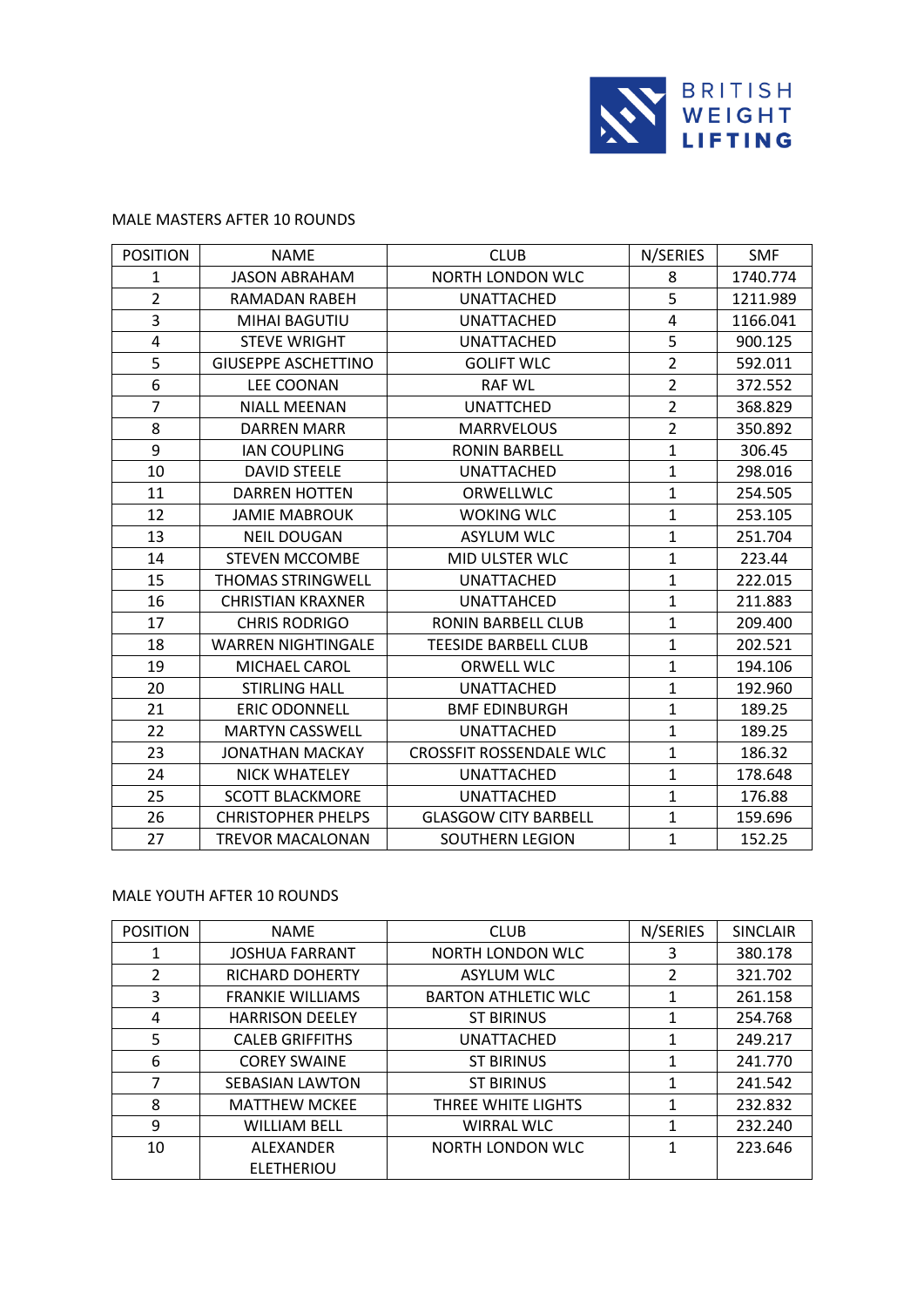

### MALE MASTERS AFTER 10 ROUNDS

| <b>POSITION</b> | <b>NAME</b>                | <b>CLUB</b>                    | N/SERIES       | <b>SMF</b> |
|-----------------|----------------------------|--------------------------------|----------------|------------|
| $\mathbf{1}$    | <b>JASON ABRAHAM</b>       | <b>NORTH LONDON WLC</b>        | 8              | 1740.774   |
| $\overline{2}$  | RAMADAN RABEH              | <b>UNATTACHED</b>              | 5              | 1211.989   |
| 3               | MIHAI BAGUTIU              | <b>UNATTACHED</b>              | 4              | 1166.041   |
| 4               | <b>STEVE WRIGHT</b>        | <b>UNATTACHED</b>              | 5              | 900.125    |
| 5               | <b>GIUSEPPE ASCHETTINO</b> | <b>GOLIFT WLC</b>              | $\overline{2}$ | 592.011    |
| 6               | <b>LEE COONAN</b>          | <b>RAF WL</b>                  | $\overline{2}$ | 372.552    |
| $\overline{7}$  | <b>NIALL MEENAN</b>        | <b>UNATTCHED</b>               | $\overline{2}$ | 368.829    |
| 8               | <b>DARREN MARR</b>         | <b>MARRVELOUS</b>              | $\overline{2}$ | 350.892    |
| 9               | <b>IAN COUPLING</b>        | <b>RONIN BARBELL</b>           | $\mathbf{1}$   | 306.45     |
| 10              | <b>DAVID STEELE</b>        | <b>UNATTACHED</b>              | $\mathbf{1}$   | 298.016    |
| 11              | <b>DARREN HOTTEN</b>       | ORWELLWLC                      | $\mathbf{1}$   | 254.505    |
| 12              | <b>JAMIE MABROUK</b>       | <b>WOKING WLC</b>              | $\mathbf{1}$   | 253.105    |
| 13              | <b>NEIL DOUGAN</b>         | <b>ASYLUM WLC</b>              | $\mathbf{1}$   | 251.704    |
| 14              | <b>STEVEN MCCOMBE</b>      | MID ULSTER WLC                 | $\mathbf{1}$   | 223.44     |
| 15              | <b>THOMAS STRINGWELL</b>   | <b>UNATTACHED</b>              | $\mathbf{1}$   | 222.015    |
| 16              | <b>CHRISTIAN KRAXNER</b>   | <b>UNATTAHCED</b>              | $\mathbf{1}$   | 211.883    |
| 17              | <b>CHRIS RODRIGO</b>       | <b>RONIN BARBELL CLUB</b>      | $\mathbf{1}$   | 209.400    |
| 18              | <b>WARREN NIGHTINGALE</b>  | <b>TEESIDE BARBELL CLUB</b>    | $\mathbf{1}$   | 202.521    |
| 19              | MICHAEL CAROL              | <b>ORWELL WLC</b>              | $\mathbf{1}$   | 194.106    |
| 20              | <b>STIRLING HALL</b>       | <b>UNATTACHED</b>              | $\mathbf{1}$   | 192.960    |
| 21              | <b>ERIC ODONNELL</b>       | <b>BMF EDINBURGH</b>           | $\mathbf{1}$   | 189.25     |
| 22              | <b>MARTYN CASSWELL</b>     | <b>UNATTACHED</b>              | $\mathbf{1}$   | 189.25     |
| 23              | <b>JONATHAN MACKAY</b>     | <b>CROSSFIT ROSSENDALE WLC</b> | $\mathbf{1}$   | 186.32     |
| 24              | <b>NICK WHATELEY</b>       | <b>UNATTACHED</b>              | $\mathbf{1}$   | 178.648    |
| 25              | <b>SCOTT BLACKMORE</b>     | <b>UNATTACHED</b>              | $\mathbf{1}$   | 176.88     |
| 26              | <b>CHRISTOPHER PHELPS</b>  | <b>GLASGOW CITY BARBELL</b>    | $\mathbf{1}$   | 159.696    |
| 27              | <b>TREVOR MACALONAN</b>    | <b>SOUTHERN LEGION</b>         | $\mathbf{1}$   | 152.25     |

### MALE YOUTH AFTER 10 ROUNDS

| <b>POSITION</b> | <b>NAME</b>             | <b>CLUB</b>                | N/SERIES      | <b>SINCLAIR</b> |
|-----------------|-------------------------|----------------------------|---------------|-----------------|
| 1               | <b>JOSHUA FARRANT</b>   | NORTH LONDON WLC           | 3             | 380.178         |
| $\mathfrak{D}$  | <b>RICHARD DOHERTY</b>  | <b>ASYLUM WLC</b>          | $\mathcal{P}$ | 321.702         |
| 3               | <b>FRANKIE WILLIAMS</b> | <b>BARTON ATHLETIC WLC</b> | 1             | 261.158         |
| 4               | <b>HARRISON DEELEY</b>  | <b>ST BIRINUS</b>          | 1             | 254.768         |
| 5               | <b>CALEB GRIFFITHS</b>  | <b>UNATTACHED</b>          | 1             | 249.217         |
| 6               | <b>COREY SWAINE</b>     | <b>ST BIRINUS</b>          | 1             | 241.770         |
| 7               | <b>SEBASIAN LAWTON</b>  | <b>ST BIRINUS</b>          | 1             | 241.542         |
| 8               | <b>MATTHEW MCKEE</b>    | THREE WHITE LIGHTS         | 1             | 232.832         |
| 9               | <b>WILLIAM BELL</b>     | <b>WIRRAL WLC</b>          | 1             | 232.240         |
| 10              | ALEXANDER               | NORTH LONDON WLC           | 1             | 223.646         |
|                 | <b>ELETHERIOU</b>       |                            |               |                 |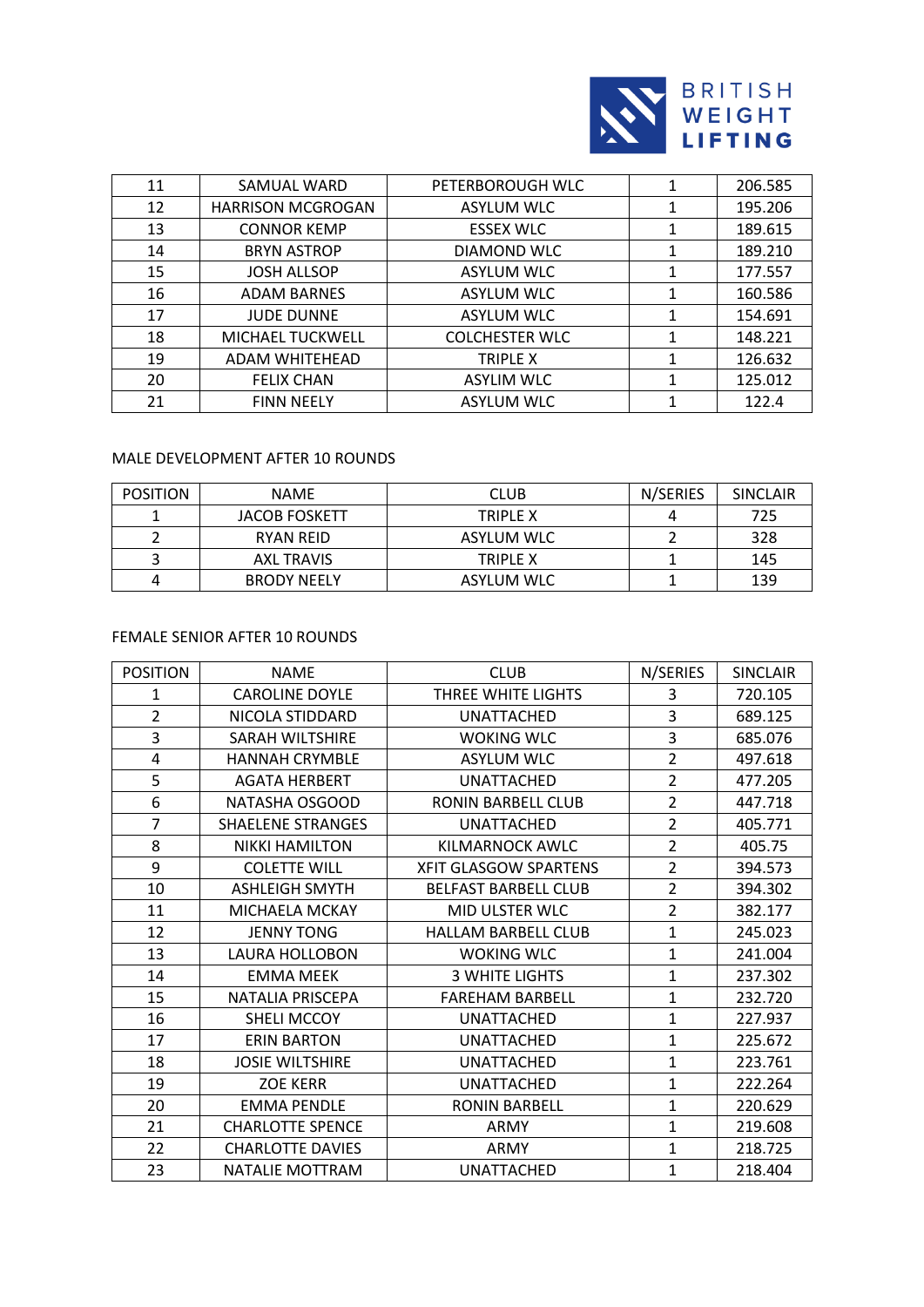

| 11 | SAMUAL WARD              | PETERBOROUGH WLC      |   | 206.585 |
|----|--------------------------|-----------------------|---|---------|
| 12 | <b>HARRISON MCGROGAN</b> | <b>ASYLUM WLC</b>     |   | 195.206 |
| 13 | <b>CONNOR KEMP</b>       | <b>ESSEX WLC</b>      | 1 | 189.615 |
| 14 | <b>BRYN ASTROP</b>       | DIAMOND WLC           |   | 189.210 |
| 15 | <b>JOSH ALLSOP</b>       | <b>ASYLUM WLC</b>     |   | 177.557 |
| 16 | <b>ADAM BARNES</b>       | <b>ASYLUM WLC</b>     |   | 160.586 |
| 17 | <b>JUDE DUNNE</b>        | <b>ASYLUM WLC</b>     |   | 154.691 |
| 18 | MICHAEL TUCKWELL         | <b>COLCHESTER WLC</b> |   | 148.221 |
| 19 | ADAM WHITEHEAD           | TRIPLE X              |   | 126.632 |
| 20 | <b>FELIX CHAN</b>        | <b>ASYLIM WLC</b>     |   | 125.012 |
| 21 | <b>FINN NEELY</b>        | <b>ASYLUM WLC</b>     |   | 122.4   |

# MALE DEVELOPMENT AFTER 10 ROUNDS

| <b>POSITION</b> | <b>NAME</b>          | <b>CLUB</b>       | N/SERIES | SINCLAIR |
|-----------------|----------------------|-------------------|----------|----------|
|                 | <b>JACOB FOSKETT</b> | TRIPLE X          |          | 725      |
|                 | RYAN REID            | ASYLUM WLC        |          | 328      |
|                 | <b>AXL TRAVIS</b>    | TRIPLE X          |          | 145      |
|                 | <b>BRODY NEELY</b>   | <b>ASYLUM WLC</b> |          | 139      |

# FEMALE SENIOR AFTER 10 ROUNDS

| <b>POSITION</b> | <b>NAME</b>              | <b>CLUB</b>                  | N/SERIES       | <b>SINCLAIR</b> |
|-----------------|--------------------------|------------------------------|----------------|-----------------|
| $\mathbf{1}$    | <b>CAROLINE DOYLE</b>    | THREE WHITE LIGHTS           | 3              | 720.105         |
| $\overline{2}$  | NICOLA STIDDARD          | <b>UNATTACHED</b>            | 3              | 689.125         |
| 3               | SARAH WILTSHIRE          | <b>WOKING WLC</b>            | 3              | 685.076         |
| 4               | <b>HANNAH CRYMBLE</b>    | <b>ASYLUM WLC</b>            | $\overline{2}$ | 497.618         |
| 5               | <b>AGATA HERBERT</b>     | <b>UNATTACHED</b>            | $\overline{2}$ | 477.205         |
| 6               | NATASHA OSGOOD           | <b>RONIN BARBELL CLUB</b>    | $\overline{2}$ | 447.718         |
| $\overline{7}$  | <b>SHAELENE STRANGES</b> | <b>UNATTACHED</b>            | $\overline{2}$ | 405.771         |
| 8               | <b>NIKKI HAMILTON</b>    | KILMARNOCK AWLC              | $\overline{2}$ | 405.75          |
| 9               | <b>COLETTE WILL</b>      | <b>XFIT GLASGOW SPARTENS</b> | $\overline{2}$ | 394.573         |
| 10              | <b>ASHLEIGH SMYTH</b>    | <b>BELFAST BARBELL CLUB</b>  | $\overline{2}$ | 394.302         |
| 11              | MICHAELA MCKAY           | MID ULSTER WLC               | $\overline{2}$ | 382.177         |
| 12              | <b>JENNY TONG</b>        | <b>HALLAM BARBELL CLUB</b>   | $\mathbf{1}$   | 245.023         |
| 13              | LAURA HOLLOBON           | <b>WOKING WLC</b>            | $\mathbf{1}$   | 241.004         |
| 14              | <b>EMMA MEEK</b>         | <b>3 WHITE LIGHTS</b>        | $\mathbf{1}$   | 237.302         |
| 15              | <b>NATALIA PRISCEPA</b>  | <b>FAREHAM BARBELL</b>       | $\mathbf{1}$   | 232.720         |
| 16              | SHELI MCCOY              | <b>UNATTACHED</b>            | $\mathbf{1}$   | 227.937         |
| 17              | <b>ERIN BARTON</b>       | <b>UNATTACHED</b>            | $\mathbf{1}$   | 225.672         |
| 18              | <b>JOSIE WILTSHIRE</b>   | <b>UNATTACHED</b>            | $\mathbf{1}$   | 223.761         |
| 19              | <b>ZOE KERR</b>          | <b>UNATTACHED</b>            | $\mathbf{1}$   | 222.264         |
| 20              | <b>EMMA PENDLE</b>       | <b>RONIN BARBELL</b>         | $\mathbf{1}$   | 220.629         |
| 21              | <b>CHARLOTTE SPENCE</b>  | ARMY                         | $\mathbf{1}$   | 219.608         |
| 22              | <b>CHARLOTTE DAVIES</b>  | ARMY                         | $\mathbf{1}$   | 218.725         |
| 23              | NATALIE MOTTRAM          | <b>UNATTACHED</b>            | $\mathbf{1}$   | 218.404         |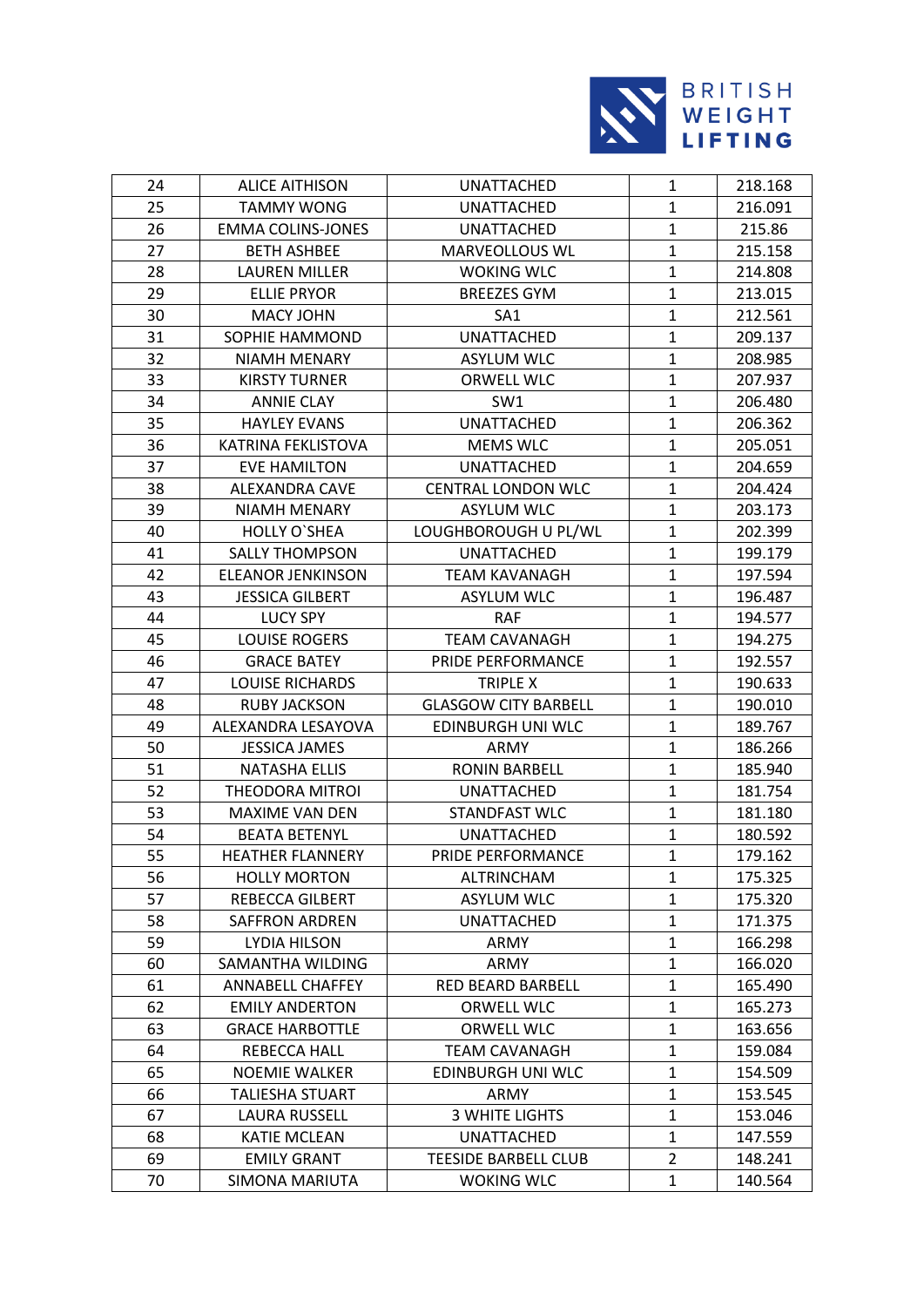

| 24 | <b>ALICE AITHISON</b>    | <b>UNATTACHED</b>           | $\mathbf{1}$   | 218.168 |
|----|--------------------------|-----------------------------|----------------|---------|
| 25 | <b>TAMMY WONG</b>        | <b>UNATTACHED</b>           | $\mathbf{1}$   | 216.091 |
| 26 | <b>EMMA COLINS-JONES</b> | <b>UNATTACHED</b>           | $\mathbf{1}$   | 215.86  |
| 27 | <b>BETH ASHBEE</b>       | MARVEOLLOUS WL              | $\mathbf{1}$   | 215.158 |
| 28 | <b>LAUREN MILLER</b>     | <b>WOKING WLC</b>           | $\mathbf{1}$   | 214.808 |
| 29 | <b>ELLIE PRYOR</b>       | <b>BREEZES GYM</b>          | $\mathbf{1}$   | 213.015 |
| 30 | <b>MACY JOHN</b>         | SA <sub>1</sub>             | $\mathbf{1}$   | 212.561 |
| 31 | SOPHIE HAMMOND           | <b>UNATTACHED</b>           | $\mathbf{1}$   | 209.137 |
| 32 | <b>NIAMH MENARY</b>      | <b>ASYLUM WLC</b>           | $\mathbf{1}$   | 208.985 |
| 33 | <b>KIRSTY TURNER</b>     | ORWELL WLC                  | $\mathbf{1}$   | 207.937 |
| 34 | <b>ANNIE CLAY</b>        | SW <sub>1</sub>             | $\mathbf{1}$   | 206.480 |
| 35 | <b>HAYLEY EVANS</b>      | <b>UNATTACHED</b>           | $\mathbf{1}$   | 206.362 |
| 36 | KATRINA FEKLISTOVA       | <b>MEMS WLC</b>             | $\mathbf{1}$   | 205.051 |
| 37 | <b>EVE HAMILTON</b>      | <b>UNATTACHED</b>           | $\mathbf{1}$   | 204.659 |
| 38 | <b>ALEXANDRA CAVE</b>    | <b>CENTRAL LONDON WLC</b>   | 1              | 204.424 |
| 39 | <b>NIAMH MENARY</b>      | <b>ASYLUM WLC</b>           | $\mathbf{1}$   | 203.173 |
| 40 | <b>HOLLY O'SHEA</b>      | LOUGHBOROUGH U PL/WL        | $\mathbf{1}$   | 202.399 |
| 41 | <b>SALLY THOMPSON</b>    | <b>UNATTACHED</b>           | $\mathbf{1}$   | 199.179 |
| 42 | <b>ELEANOR JENKINSON</b> | <b>TEAM KAVANAGH</b>        | $\mathbf{1}$   | 197.594 |
| 43 | <b>JESSICA GILBERT</b>   | <b>ASYLUM WLC</b>           | $\mathbf{1}$   | 196.487 |
| 44 | <b>LUCY SPY</b>          | <b>RAF</b>                  | $\mathbf{1}$   | 194.577 |
| 45 | <b>LOUISE ROGERS</b>     | <b>TEAM CAVANAGH</b>        | $\mathbf{1}$   | 194.275 |
| 46 | <b>GRACE BATEY</b>       | PRIDE PERFORMANCE           | $\mathbf{1}$   | 192.557 |
| 47 | <b>LOUISE RICHARDS</b>   | TRIPLE X                    | $\mathbf{1}$   | 190.633 |
| 48 | <b>RUBY JACKSON</b>      | <b>GLASGOW CITY BARBELL</b> | $\mathbf{1}$   | 190.010 |
| 49 | ALEXANDRA LESAYOVA       | EDINBURGH UNI WLC           | $\mathbf{1}$   | 189.767 |
| 50 | <b>JESSICA JAMES</b>     | ARMY                        | $\mathbf{1}$   | 186.266 |
| 51 | <b>NATASHA ELLIS</b>     | <b>RONIN BARBELL</b>        | $\mathbf{1}$   | 185.940 |
| 52 | <b>THEODORA MITROI</b>   | UNATTACHED                  | $\mathbf{1}$   | 181.754 |
| 53 | <b>MAXIME VAN DEN</b>    | STANDFAST WLC               | $\mathbf{1}$   | 181.180 |
| 54 | <b>BEATA BETENYL</b>     | <b>UNATTACHED</b>           | $\mathbf{1}$   | 180.592 |
| 55 | <b>HEATHER FLANNERY</b>  | PRIDE PERFORMANCE           | $\mathbf{1}$   | 179.162 |
| 56 | <b>HOLLY MORTON</b>      | <b>ALTRINCHAM</b>           | 1              | 175.325 |
| 57 | REBECCA GILBERT          | <b>ASYLUM WLC</b>           | 1              | 175.320 |
| 58 | <b>SAFFRON ARDREN</b>    | UNATTACHED                  | $\mathbf{1}$   | 171.375 |
| 59 | LYDIA HILSON             | ARMY                        | 1              | 166.298 |
| 60 | SAMANTHA WILDING         | ARMY                        | $\mathbf{1}$   | 166.020 |
| 61 | <b>ANNABELL CHAFFEY</b>  | RED BEARD BARBELL           | $\mathbf{1}$   | 165.490 |
| 62 | <b>EMILY ANDERTON</b>    | ORWELL WLC                  | $\mathbf{1}$   | 165.273 |
| 63 | <b>GRACE HARBOTTLE</b>   | ORWELL WLC                  | 1              | 163.656 |
| 64 | REBECCA HALL             | <b>TEAM CAVANAGH</b>        | $\mathbf{1}$   | 159.084 |
| 65 | <b>NOEMIE WALKER</b>     | <b>EDINBURGH UNI WLC</b>    | 1              | 154.509 |
| 66 | <b>TALIESHA STUART</b>   | ARMY                        | 1              | 153.545 |
| 67 | LAURA RUSSELL            | <b>3 WHITE LIGHTS</b>       | $\mathbf{1}$   | 153.046 |
| 68 | <b>KATIE MCLEAN</b>      | UNATTACHED                  | $\mathbf{1}$   | 147.559 |
| 69 | <b>EMILY GRANT</b>       | <b>TEESIDE BARBELL CLUB</b> | $\overline{2}$ | 148.241 |
| 70 | SIMONA MARIUTA           | <b>WOKING WLC</b>           | $\mathbf{1}$   | 140.564 |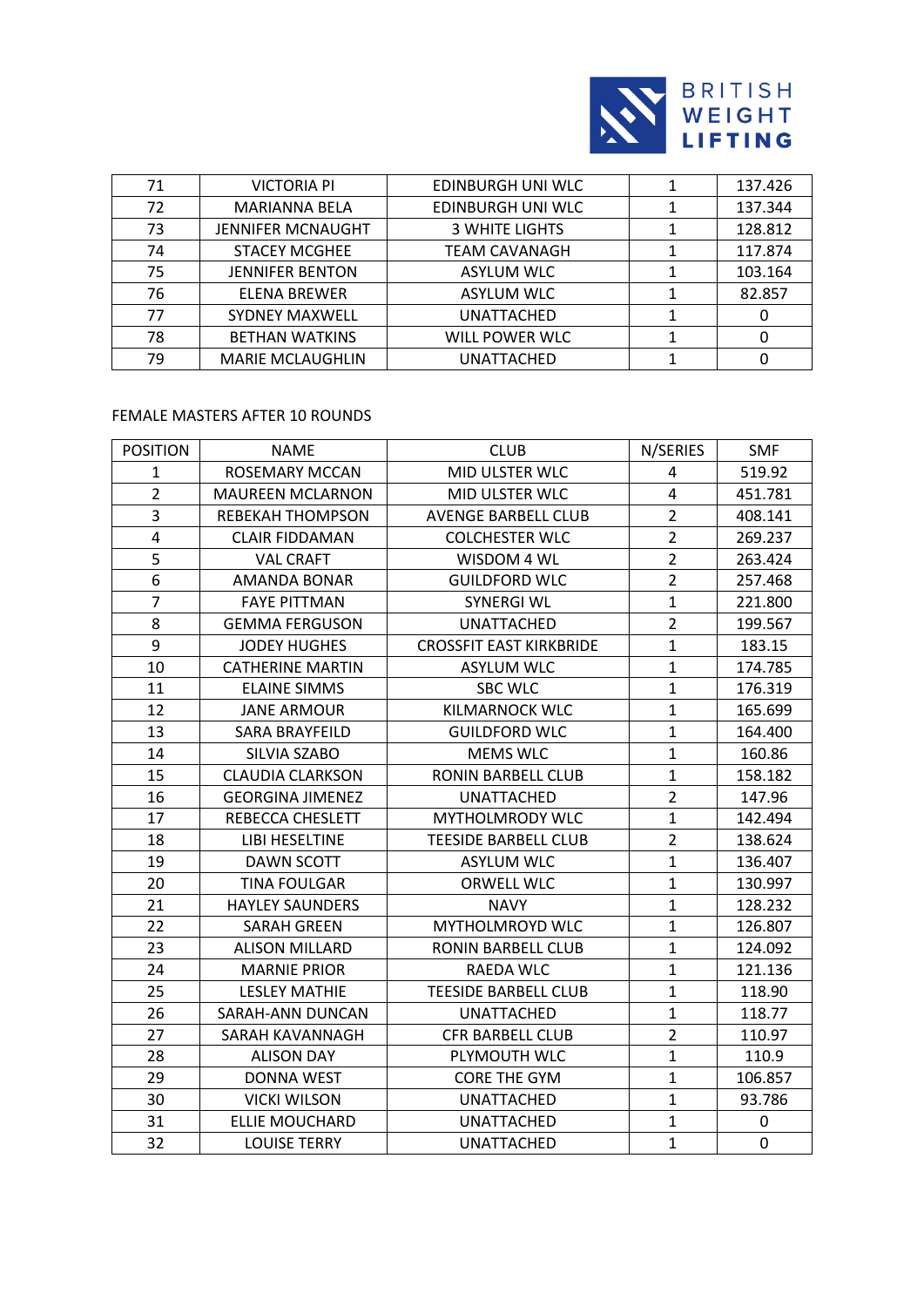

| 71 | <b>VICTORIA PI</b>       | EDINBURGH UNI WLC     | 137.426 |
|----|--------------------------|-----------------------|---------|
| 72 | <b>MARIANNA BELA</b>     | EDINBURGH UNI WLC     | 137.344 |
| 73 | <b>JENNIFER MCNAUGHT</b> | <b>3 WHITE LIGHTS</b> | 128.812 |
| 74 | <b>STACEY MCGHEE</b>     | TEAM CAVANAGH         | 117.874 |
| 75 | <b>JENNIFER BENTON</b>   | <b>ASYLUM WLC</b>     | 103.164 |
| 76 | <b>ELENA BREWER</b>      | <b>ASYLUM WLC</b>     | 82.857  |
| 77 | <b>SYDNEY MAXWELL</b>    | UNATTACHED            |         |
| 78 | <b>BETHAN WATKINS</b>    | WILL POWER WLC        |         |
| 79 | <b>MARIE MCLAUGHLIN</b>  | <b>UNATTACHED</b>     |         |

# FEMALE MASTERS AFTER 10 ROUNDS

| <b>POSITION</b> | <b>NAME</b>             | <b>CLUB</b>                    | N/SERIES       | <b>SMF</b>  |
|-----------------|-------------------------|--------------------------------|----------------|-------------|
| $\mathbf{1}$    | <b>ROSEMARY MCCAN</b>   | MID ULSTER WLC                 | 4              | 519.92      |
| $\overline{2}$  | <b>MAUREEN MCLARNON</b> | MID ULSTER WLC                 | $\overline{4}$ | 451.781     |
| 3               | <b>REBEKAH THOMPSON</b> | <b>AVENGE BARBELL CLUB</b>     | $\overline{2}$ | 408.141     |
| 4               | <b>CLAIR FIDDAMAN</b>   | <b>COLCHESTER WLC</b>          | $\overline{2}$ | 269.237     |
| 5               | <b>VAL CRAFT</b>        | WISDOM 4 WL                    | $\overline{2}$ | 263.424     |
| 6               | <b>AMANDA BONAR</b>     | <b>GUILDFORD WLC</b>           | $\overline{2}$ | 257.468     |
| $\overline{7}$  | <b>FAYE PITTMAN</b>     | <b>SYNERGI WL</b>              | $\mathbf{1}$   | 221.800     |
| 8               | <b>GEMMA FERGUSON</b>   | <b>UNATTACHED</b>              | $\overline{2}$ | 199.567     |
| 9               | <b>JODEY HUGHES</b>     | <b>CROSSFIT EAST KIRKBRIDE</b> | $\mathbf{1}$   | 183.15      |
| 10              | <b>CATHERINE MARTIN</b> | <b>ASYLUM WLC</b>              | $\mathbf{1}$   | 174.785     |
| 11              | <b>ELAINE SIMMS</b>     | <b>SBC WLC</b>                 | $\mathbf{1}$   | 176.319     |
| 12              | <b>JANE ARMOUR</b>      | KILMARNOCK WLC                 | $\mathbf{1}$   | 165.699     |
| 13              | <b>SARA BRAYFEILD</b>   | <b>GUILDFORD WLC</b>           | $\mathbf{1}$   | 164.400     |
| 14              | SILVIA SZABO            | <b>MEMS WLC</b>                | $\mathbf{1}$   | 160.86      |
| 15              | <b>CLAUDIA CLARKSON</b> | RONIN BARBELL CLUB             | $\mathbf{1}$   | 158.182     |
| 16              | <b>GEORGINA JIMENEZ</b> | <b>UNATTACHED</b>              | $\overline{2}$ | 147.96      |
| 17              | REBECCA CHESLETT        | <b>MYTHOLMRODY WLC</b>         | $\mathbf{1}$   | 142.494     |
| 18              | LIBI HESELTINE          | <b>TEESIDE BARBELL CLUB</b>    | $\overline{2}$ | 138.624     |
| 19              | <b>DAWN SCOTT</b>       | <b>ASYLUM WLC</b>              | $\mathbf{1}$   | 136.407     |
| 20              | <b>TINA FOULGAR</b>     | ORWELL WLC                     | $\mathbf{1}$   | 130.997     |
| 21              | <b>HAYLEY SAUNDERS</b>  | <b>NAVY</b>                    | $\mathbf{1}$   | 128.232     |
| 22              | <b>SARAH GREEN</b>      | <b>MYTHOLMROYD WLC</b>         | $\mathbf{1}$   | 126.807     |
| 23              | <b>ALISON MILLARD</b>   | RONIN BARBELL CLUB             | $\mathbf{1}$   | 124.092     |
| 24              | <b>MARNIE PRIOR</b>     | RAEDA WLC                      | $\mathbf{1}$   | 121.136     |
| 25              | <b>LESLEY MATHIE</b>    | <b>TEESIDE BARBELL CLUB</b>    | 1              | 118.90      |
| 26              | SARAH-ANN DUNCAN        | <b>UNATTACHED</b>              | $\mathbf{1}$   | 118.77      |
| 27              | SARAH KAVANNAGH         | <b>CFR BARBELL CLUB</b>        | $\overline{2}$ | 110.97      |
| 28              | <b>ALISON DAY</b>       | PLYMOUTH WLC                   | $\mathbf{1}$   | 110.9       |
| 29              | <b>DONNA WEST</b>       | <b>CORE THE GYM</b>            | $\mathbf{1}$   | 106.857     |
| 30              | <b>VICKI WILSON</b>     | <b>UNATTACHED</b>              | $\mathbf{1}$   | 93.786      |
| 31              | <b>ELLIE MOUCHARD</b>   | <b>UNATTACHED</b>              | $\mathbf{1}$   | 0           |
| 32              | <b>LOUISE TERRY</b>     | <b>UNATTACHED</b>              | $\mathbf{1}$   | $\mathbf 0$ |